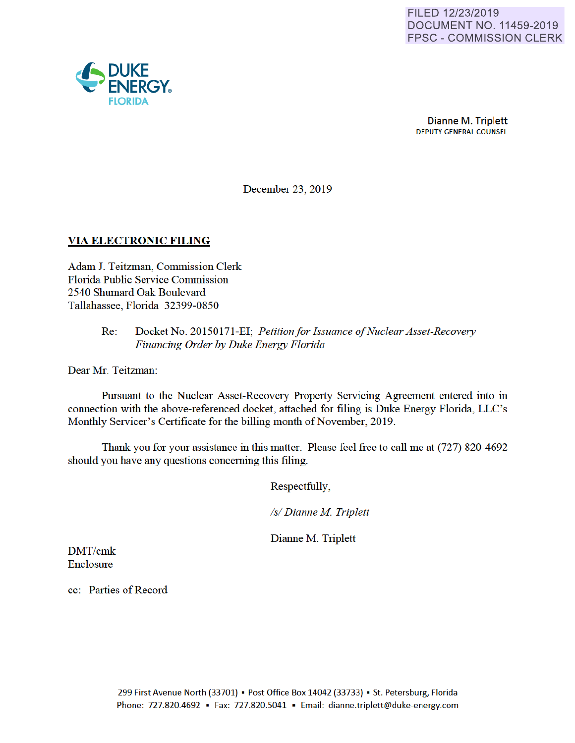

December 23, 2019

### **VIA ELECTRONIC FILING**

Adam J. Teitzman, Commission Clerk Florida Public Service Commission 2540 Shumard Oak Boulevard Tallahassee, Florida 32399-0850

#### Re: Docket No. 20150171 -EI· *Petition for Issuance of Nuclear Asset-Recovery Financing Order by Duke Energy Florida*

Dear Mr. Teitzman:

Pursuant to the Nuclear Asset-Recovery Property Servicing Agreement entered into in connection with the above-referenced docket, attached for filing is Duke Energy Florida, LLC's Monthly Servicer's Certificate for the billing month of November, 2019.

Thank you for your assistance in this matter. Please feel free to call me at (727) 820-4692 should you have any questions concerning this filing.

Respectfully,

*Isl Dianne M Triplett* 

Dianne M. Triplett

DMT/cmk Enclosure

cc: Parties of Record

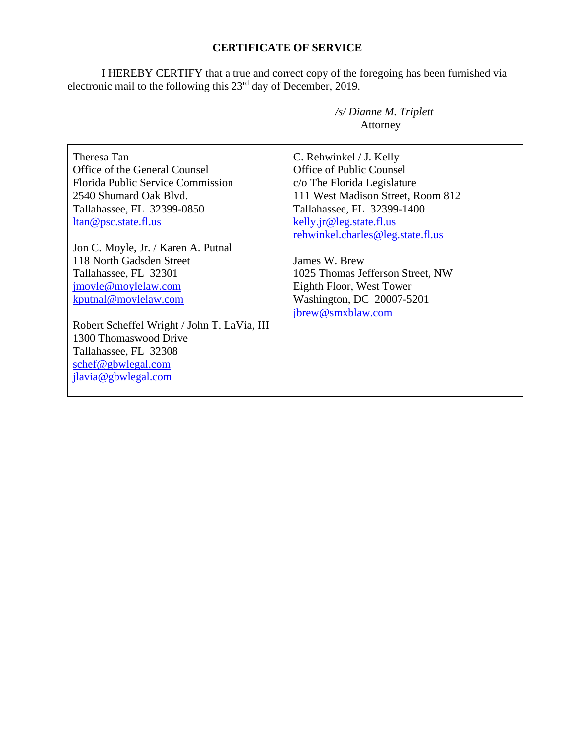# **CERTIFICATE OF SERVICE**

I HEREBY CERTIFY that a true and correct copy of the foregoing has been furnished via electronic mail to the following this 23<sup>rd</sup> day of December, 2019.

|                                             | /s/ Dianne M. Triplett            |  |  |
|---------------------------------------------|-----------------------------------|--|--|
|                                             | Attorney                          |  |  |
|                                             |                                   |  |  |
| Theresa Tan                                 | C. Rehwinkel / J. Kelly           |  |  |
| Office of the General Counsel               | Office of Public Counsel          |  |  |
| <b>Florida Public Service Commission</b>    | c/o The Florida Legislature       |  |  |
| 2540 Shumard Oak Blyd.                      | 111 West Madison Street, Room 812 |  |  |
| Tallahassee, FL 32399-0850                  | Tallahassee, FL 32399-1400        |  |  |
| <u>ltan@psc.state.fl.us</u>                 | kelly.jr@leg.state.fl.us          |  |  |
|                                             | rehwinkel.charles@leg.state.fl.us |  |  |
| Jon C. Moyle, Jr. / Karen A. Putnal         |                                   |  |  |
| 118 North Gadsden Street                    | James W. Brew                     |  |  |
| Tallahassee, FL 32301                       | 1025 Thomas Jefferson Street, NW  |  |  |
| jmoyle@moylelaw.com                         | Eighth Floor, West Tower          |  |  |
| kputnal@moylelaw.com                        | Washington, DC 20007-5201         |  |  |
|                                             | jbrew@smxblaw.com                 |  |  |
| Robert Scheffel Wright / John T. LaVia, III |                                   |  |  |
| 1300 Thomaswood Drive                       |                                   |  |  |
| Tallahassee, FL 32308                       |                                   |  |  |
| schef@gbwlegal.com                          |                                   |  |  |
| jlavia@gbwlegal.com                         |                                   |  |  |
|                                             |                                   |  |  |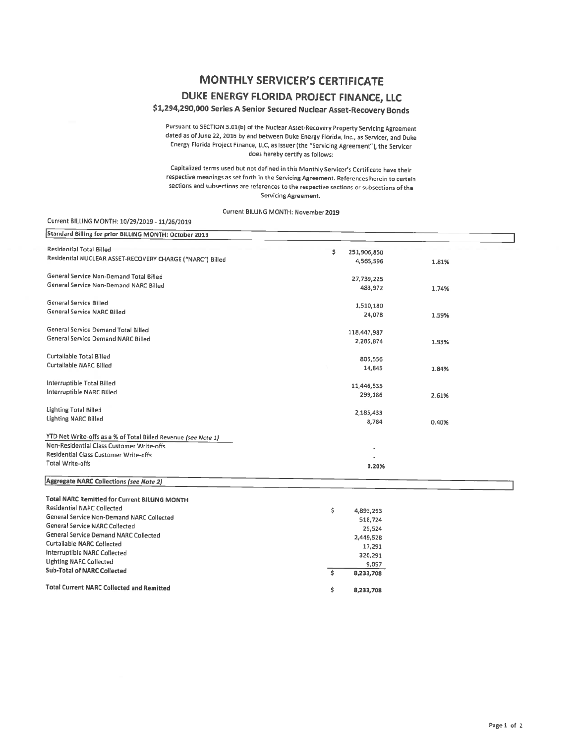## **MONTHLY SERVICER'S CERTIFICATE DUKE ENERGY FLORIDA PROJECT FINANCE, LLC**

## \$1,294,290,000 Series A Senior Secured Nuclear Asset-Recovery Bonds

Pursuant to SECTION 3.0l(b) of the Nudear Asset-Recovery Property Servicing Agreement dated as of June 22, 2016 by and between Duke Energy Florida, Inc., as Servicer, and Duke Energy Florida Project Finance, LLC, as Issuer (the "Servicing Agreement"), the Servicer does hereby certify **as** follows:

Capitalized terms used but not defined in this Monthly Servicer's Certificate have their respective meanings as set forth in the Servicing Agreement. References herein to certain sections and subsections are references to the respective sections or subsections of the Servicing Agreement.

Current BILLING MONTH: November2019

#### Current BILLING MONTH: 10/29/2019 - 11/26/2019

| Standard Billing for prior BILLING MONTH: October 2019         |       |                      |       |
|----------------------------------------------------------------|-------|----------------------|-------|
| <b>Residential Total Billed</b>                                | \$    |                      |       |
| Residential NUCLEAR ASSET-RECOVERY CHARGE ("NARC") Billed      |       | 251,906,850          |       |
|                                                                |       | 4,565,596            | 1.81% |
| General Service Non-Demand Total Billed                        |       | 27,739,225           |       |
| General Service Non-Demand NARC Billed                         |       | 483,972              | 1.74% |
|                                                                |       |                      |       |
| General Service Billed                                         |       | 1,510,180            |       |
| <b>General Service NARC Billed</b>                             |       | 24,078               | 1.59% |
| General Service Demand Total Billed                            |       |                      |       |
| General Service Demand NARC Billed                             |       | 118,447,987          |       |
|                                                                |       | 2,285,874            | 1.93% |
| Curtailable Total Billed                                       |       | 805,556              |       |
| Curtailable NARC Billed                                        |       | 14,845               | 1.84% |
|                                                                |       |                      |       |
| Interruptible Total Billed                                     |       | 11,446,535           |       |
| Interruptible NARC Billed                                      |       | 299,186              | 2.61% |
| Lighting Total Billed                                          |       |                      |       |
| <b>Lighting NARC Billed</b>                                    |       | 2,185,433            |       |
|                                                                |       | 8,784                | 0.40% |
| YTD Net Write-offs as a % of Total Billed Revenue (see Note 1) |       |                      |       |
| Non-Residential Class Customer Write-offs                      |       |                      |       |
| Residential Class Customer Write-offs                          |       |                      |       |
| <b>Total Write-offs</b>                                        | 0.20% |                      |       |
|                                                                |       |                      |       |
| Aggregate NARC Collections (see Note 2)                        |       |                      |       |
| <b>Total NARC Remitted for Current BILLING MONTH</b>           |       |                      |       |
| Residential NARC Collected                                     | \$    |                      |       |
| General Service Non-Demand NARC Collected                      |       | 4,893,293<br>518,724 |       |
| General Service NARC Collected                                 |       |                      |       |
| General Service Demand NARC Collected                          |       | 25,524               |       |
| <b>Curtailable NARC Collected</b>                              |       | 2,449,528            |       |
| Interruptible NARC Collected                                   |       | 17,291               |       |
| <b>Lighting NARC Collected</b>                                 |       | 320,291              |       |
| <b>Sub-Total of NARC Collected</b>                             | \$    | 9,057                |       |
|                                                                |       | 8,233,708            |       |
| <b>Total Current NARC Collected and Remitted</b>               | \$    | 8,233,708            |       |
|                                                                |       |                      |       |